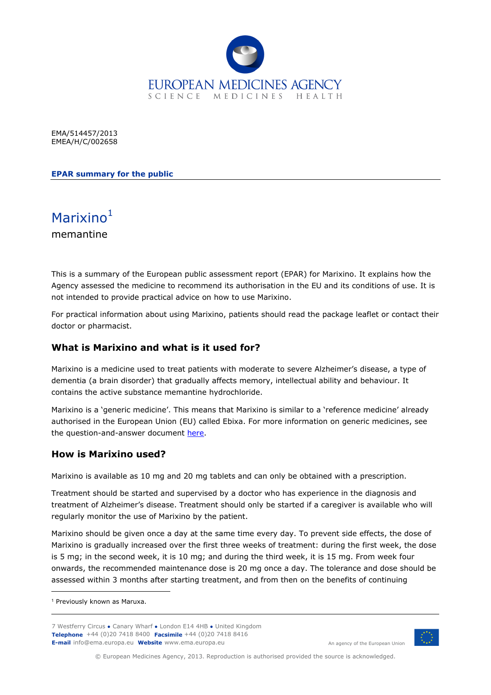

EMA/514457/2013 EMEA/H/C/002658

**EPAR summary for the public**



This is a summary of the European public assessment report (EPAR) for Marixino. It explains how the Agency assessed the medicine to recommend its authorisation in the EU and its conditions of use. It is not intended to provide practical advice on how to use Marixino.

For practical information about using Marixino, patients should read the package leaflet or contact their doctor or pharmacist.

# **What is Marixino and what is it used for?**

Marixino is a medicine used to treat patients with moderate to severe Alzheimer's disease, a type of dementia (a brain disorder) that gradually affects memory, intellectual ability and behaviour. It contains the active substance memantine hydrochloride.

Marixino is a 'generic medicine'. This means that Marixino is similar to a 'reference medicine' already authorised in the European Union (EU) called Ebixa. For more information on generic medicines, see the question-and-answer document [here.](http://www.ema.europa.eu/docs/en_GB/document_library/Medicine_QA/2009/11/WC500012382.pdf)

### **How is Marixino used?**

Marixino is available as 10 mg and 20 mg tablets and can only be obtained with a prescription.

Treatment should be started and supervised by a doctor who has experience in the diagnosis and treatment of Alzheimer's disease. Treatment should only be started if a caregiver is available who will regularly monitor the use of Marixino by the patient.

Marixino should be given once a day at the same time every day. To prevent side effects, the dose of Marixino is gradually increased over the first three weeks of treatment: during the first week, the dose is 5 mg; in the second week, it is 10 mg; and during the third week, it is 15 mg. From week four onwards, the recommended maintenance dose is 20 mg once a day. The tolerance and dose should be assessed within 3 months after starting treatment, and from then on the benefits of continuing

 $\overline{a}$ 

7 Westferry Circus **●** Canary Wharf **●** London E14 4HB **●** United Kingdom **Telephone** +44 (0)20 7418 8400 **Facsimile** +44 (0)20 7418 8416 **E-mail** info@ema.europa.eu **Website** www.ema.europa.eu An agency of the European Union



© European Medicines Agency, 2013. Reproduction is authorised provided the source is acknowledged.

<span id="page-0-0"></span><sup>1</sup> Previously known as Maruxa.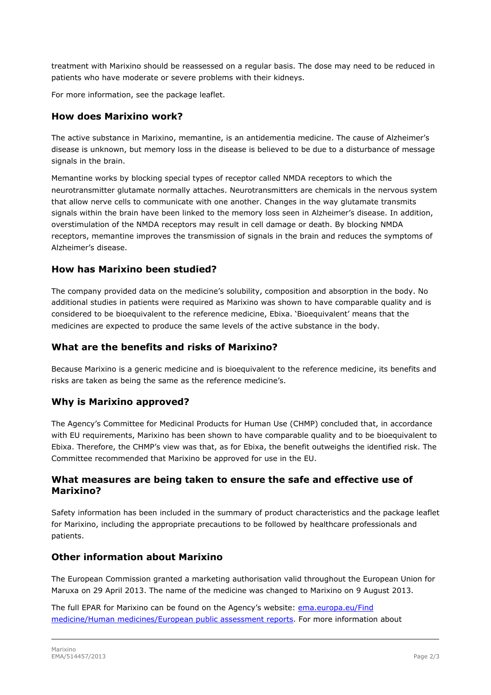treatment with Marixino should be reassessed on a regular basis. The dose may need to be reduced in patients who have moderate or severe problems with their kidneys.

For more information, see the package leaflet.

## **How does Marixino work?**

The active substance in Marixino, memantine, is an antidementia medicine. The cause of Alzheimer's disease is unknown, but memory loss in the disease is believed to be due to a disturbance of message signals in the brain.

Memantine works by blocking special types of receptor called NMDA receptors to which the neurotransmitter glutamate normally attaches. Neurotransmitters are chemicals in the nervous system that allow nerve cells to communicate with one another. Changes in the way glutamate transmits signals within the brain have been linked to the memory loss seen in Alzheimer's disease. In addition, overstimulation of the NMDA receptors may result in cell damage or death. By blocking NMDA receptors, memantine improves the transmission of signals in the brain and reduces the symptoms of Alzheimer's disease.

## **How has Marixino been studied?**

The company provided data on the medicine's solubility, composition and absorption in the body. No additional studies in patients were required as Marixino was shown to have comparable quality and is considered to be bioequivalent to the reference medicine, Ebixa. 'Bioequivalent' means that the medicines are expected to produce the same levels of the active substance in the body.

# **What are the benefits and risks of Marixino?**

Because Marixino is a generic medicine and is bioequivalent to the reference medicine, its benefits and risks are taken as being the same as the reference medicine's.

# **Why is Marixino approved?**

The Agency's Committee for Medicinal Products for Human Use (CHMP) concluded that, in accordance with EU requirements, Marixino has been shown to have comparable quality and to be bioequivalent to Ebixa. Therefore, the CHMP's view was that, as for Ebixa, the benefit outweighs the identified risk. The Committee recommended that Marixino be approved for use in the EU.

## **What measures are being taken to ensure the safe and effective use of Marixino?**

Safety information has been included in the summary of product characteristics and the package leaflet for Marixino, including the appropriate precautions to be followed by healthcare professionals and patients.

### **Other information about Marixino**

The European Commission granted a marketing authorisation valid throughout the European Union for Maruxa on 29 April 2013. The name of the medicine was changed to Marixino on 9 August 2013.

The full EPAR for Marixino can be found on the Agency's website: ema.europa.eu/Find [medicine/Human medicines/European public assessment reports.](http://www.ema.europa.eu/ema/index.jsp?curl=/pages/medicines/human/medicines/002658/human_med_001631.jsp) For more information about